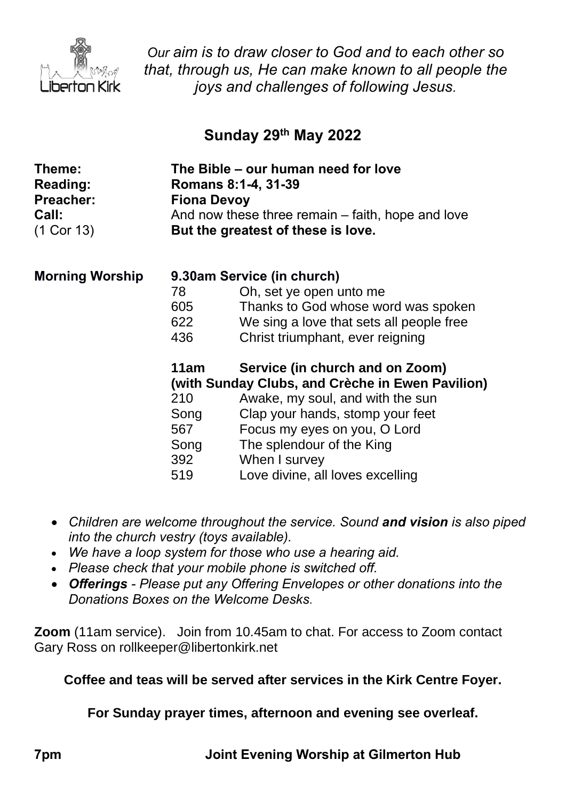

*Our aim is to draw closer to God and to each other so that, through us, He can make known to all people the joys and challenges of following Jesus.*

## **Sunday 29 th May 2022**

| Theme:<br><b>Reading:</b><br><b>Preacher:</b><br>Call:<br>(1 Cor 13) | The Bible – our human need for love<br>Romans 8:1-4, 31-39<br><b>Fiona Devoy</b><br>And now these three remain – faith, hope and love<br>But the greatest of these is love. |                                          |
|----------------------------------------------------------------------|-----------------------------------------------------------------------------------------------------------------------------------------------------------------------------|------------------------------------------|
| <b>Morning Worship</b>                                               | 9.30am Service (in church)                                                                                                                                                  |                                          |
|                                                                      | 78                                                                                                                                                                          | Oh, set ye open unto me                  |
|                                                                      | 605                                                                                                                                                                         | Thanks to God whose word was spoken      |
|                                                                      | 622                                                                                                                                                                         | We sing a love that sets all people free |
|                                                                      | 436                                                                                                                                                                         | Christ triumphant, ever reigning         |
|                                                                      | 11am                                                                                                                                                                        | Service (in church and on Zoom)          |
|                                                                      | (with Sunday Clubs, and Crèche in Ewen Pavilion)                                                                                                                            |                                          |
|                                                                      | 210                                                                                                                                                                         | Awake, my soul, and with the sun         |
|                                                                      | Song                                                                                                                                                                        | Clap your hands, stomp your feet         |
|                                                                      | 567                                                                                                                                                                         | Focus my eyes on you, O Lord             |
|                                                                      | Song                                                                                                                                                                        | The splendour of the King                |
|                                                                      | 392                                                                                                                                                                         | When I survey                            |
|                                                                      | 519                                                                                                                                                                         | Love divine, all loves excelling         |

- *Children are welcome throughout the service. Sound and vision is also piped into the church vestry (toys available).*
- *We have a loop system for those who use a hearing aid.*
- *Please check that your mobile phone is switched off.*
- *Offerings - Please put any Offering Envelopes or other donations into the Donations Boxes on the Welcome Desks.*

**Zoom** (11am service).Join from 10.45am to chat. For access to Zoom contact Gary Ross on rollkeeper@libertonkirk.net

**Coffee and teas will be served after services in the Kirk Centre Foyer.**

**For Sunday prayer times, afternoon and evening see overleaf.**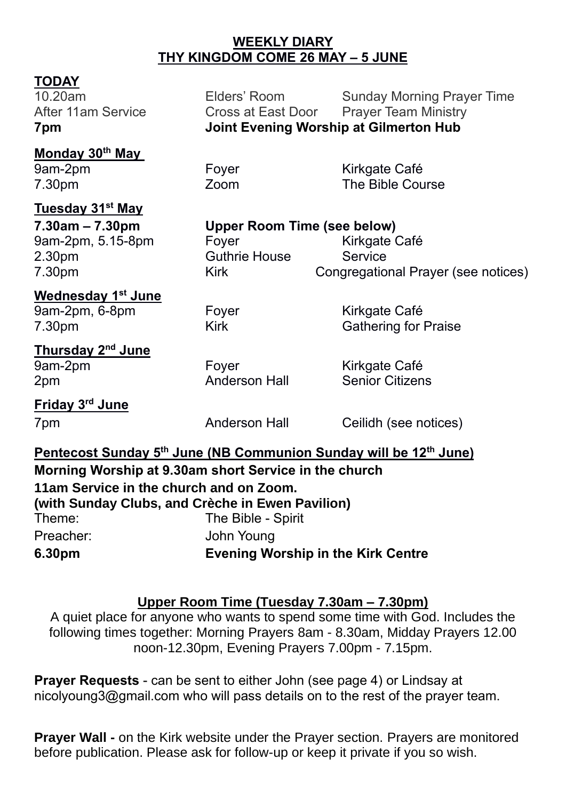### **WEEKLY DIARY THY KINGDOM COME 26 MAY – 5 JUNE**

# **TODAY**<br>10.20am

Elders' Room Sunday Morning Prayer Time After 11am Service **Cross at East Door** Prayer Team Ministry **7pm Joint Evening Worship at Gilmerton Hub**

**Monday 30th May**  9am-2pm Foyer Kirkgate Café 7.30pm Zoom The Bible Course

# **Tuesday 31st May**

**7.30am – 7.30pm Upper Room Time (see below)** 9am-2pm, 5.15-8pm Foyer Form Kirkgate Café 2.30pm Guthrie House Service 7.30pm Kirk Congregational Prayer (see notices)

**Wednesday 1 st June** 9am-2pm, 6-8pm Foyer Form Kirkgate Café

7.30pm Kirk Kirk Gathering for Praise

**Thursday 2 nd June** 9am-2pm Foyer Form Kirkgate Café 2pm Anderson Hall Senior Citizens

**Friday 3 rd June**

7pm Anderson Hall Ceilidh (see notices)

**Pentecost Sunday 5 th June (NB Communion Sunday will be 12th June) Morning Worship at 9.30am short Service in the church 11am Service in the church and on Zoom. (with Sunday Clubs, and Crèche in Ewen Pavilion)** Theme: The Bible - Spirit Preacher: John Young **6.30pm Evening Worship in the Kirk Centre**

## **Upper Room Time (Tuesday 7.30am – 7.30pm)**

A quiet place for anyone who wants to spend some time with God. Includes the following times together: Morning Prayers 8am - 8.30am, Midday Prayers 12.00 noon-12.30pm, Evening Prayers 7.00pm - 7.15pm.

**Prayer Requests** - can be sent to either John (see page 4) or Lindsay at [nicolyoung3@gmail.com](mailto:nicolyoung3@gmail.com) who will pass details on to the rest of the prayer team.

**Prayer Wall -** on the Kirk website under the Prayer section. Prayers are monitored before publication. Please ask for follow-up or keep it private if you so wish.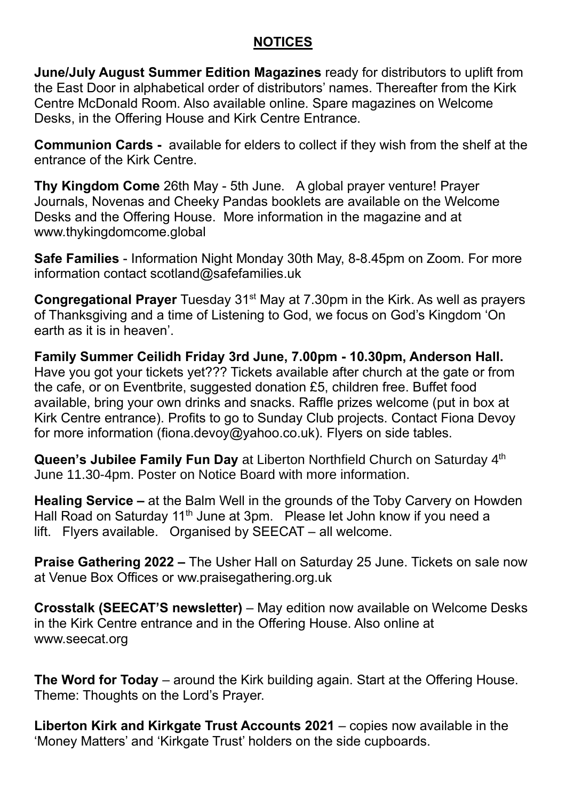## **NOTICES**

**June/July August Summer Edition Magazines** ready for distributors to uplift from the East Door in alphabetical order of distributors' names. Thereafter from the Kirk Centre McDonald Room. Also available online. Spare magazines on Welcome Desks, in the Offering House and Kirk Centre Entrance.

**Communion Cards -** available for elders to collect if they wish from the shelf at the entrance of the Kirk Centre.

**Thy Kingdom Come** 26th May - 5th June. A global prayer venture! Prayer Journals, Novenas and Cheeky Pandas booklets are available on the Welcome Desks and the Offering House. More information in the magazine and at [www.thykingdomcome.global](http://www.thykingdomcome.global/)

**Safe Families** - Information Night Monday 30th May, 8-8.45pm on Zoom. For more information contact scotland@safefamilies.uk

**Congregational Prayer** Tuesday 31<sup>st</sup> May at 7.30pm in the Kirk. As well as prayers of Thanksgiving and a time of Listening to God, we focus on God's Kingdom 'On earth as it is in heaven'.

**Family Summer Ceilidh Friday 3rd June, 7.00pm - 10.30pm, Anderson Hall.** Have you got your tickets yet??? Tickets available after church at the gate or from the cafe, or on Eventbrite, suggested donation £5, children free. Buffet food available, bring your own drinks and snacks. Raffle prizes welcome (put in box at Kirk Centre entrance). Profits to go to Sunday Club projects. Contact Fiona Devoy for more information [\(fiona.devoy@yahoo.co.uk\)](mailto:fiona.devoy@yahoo.co.uk). Flyers on side tables.

**Queen's Jubilee Family Fun Day** at Liberton Northfield Church on Saturday 4<sup>th</sup> June 11.30-4pm. Poster on Notice Board with more information.

**Healing Service –** at the Balm Well in the grounds of the Toby Carvery on Howden Hall Road on Saturday 11<sup>th</sup> June at 3pm. Please let John know if you need a lift. Flyers available. Organised by SEECAT – all welcome.

**Praise Gathering 2022 –** The Usher Hall on Saturday 25 June. Tickets on sale now at Venue Box Offices or ww.praisegathering.org.uk

**Crosstalk (SEECAT'S newsletter)** – May edition now available on Welcome Desks in the Kirk Centre entrance and in the Offering House. Also online at [www.seecat.org](http://www.seecat.org/)

**The Word for Today** – around the Kirk building again. Start at the Offering House. Theme: Thoughts on the Lord's Prayer.

**Liberton Kirk and Kirkgate Trust Accounts 2021** – copies now available in the 'Money Matters' and 'Kirkgate Trust' holders on the side cupboards.